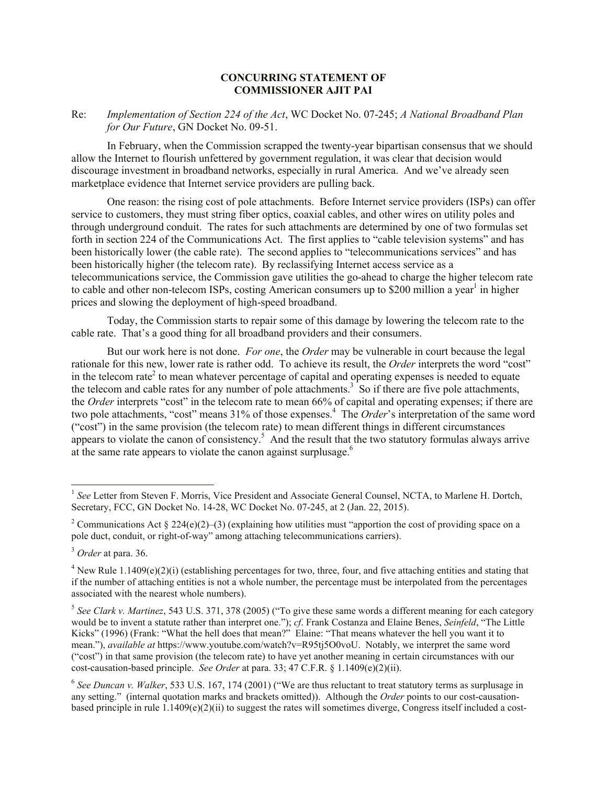## **CONCURRING STATEMENT OF COMMISSIONER AJIT PAI**

Re: *Implementation of Section 224 of the Act*, WC Docket No. 07-245; *A National Broadband Plan for Our Future*, GN Docket No. 09-51.

In February, when the Commission scrapped the twenty-year bipartisan consensus that we should allow the Internet to flourish unfettered by government regulation, it was clear that decision would discourage investment in broadband networks, especially in rural America. And we've already seen marketplace evidence that Internet service providers are pulling back.

One reason: the rising cost of pole attachments. Before Internet service providers (ISPs) can offer service to customers, they must string fiber optics, coaxial cables, and other wires on utility poles and through underground conduit. The rates for such attachments are determined by one of two formulas set forth in section 224 of the Communications Act. The first applies to "cable television systems" and has been historically lower (the cable rate). The second applies to "telecommunications services" and has been historically higher (the telecom rate). By reclassifying Internet access service as a telecommunications service, the Commission gave utilities the go-ahead to charge the higher telecom rate to cable and other non-telecom ISPs, costing American consumers up to \$200 million a year<sup>1</sup> in higher prices and slowing the deployment of high-speed broadband.

Today, the Commission starts to repair some of this damage by lowering the telecom rate to the cable rate. That's a good thing for all broadband providers and their consumers.

But our work here is not done. *For one*, the *Order* may be vulnerable in court because the legal rationale for this new, lower rate is rather odd. To achieve its result, the *Order* interprets the word "cost" in the telecom rate<sup>2</sup> to mean whatever percentage of capital and operating expenses is needed to equate the telecom and cable rates for any number of pole attachments.<sup>3</sup> So if there are five pole attachments, the *Order* interprets "cost" in the telecom rate to mean 66% of capital and operating expenses; if there are two pole attachments, "cost" means 31% of those expenses.<sup>4</sup> The *Order*'s interpretation of the same word ("cost") in the same provision (the telecom rate) to mean different things in different circumstances appears to violate the canon of consistency.<sup>5</sup> And the result that the two statutory formulas always arrive at the same rate appears to violate the canon against surplusage.<sup>6</sup>

<sup>&</sup>lt;sup>1</sup> See Letter from Steven F. Morris, Vice President and Associate General Counsel, NCTA, to Marlene H. Dortch, Secretary, FCC, GN Docket No. 14-28, WC Docket No. 07-245, at 2 (Jan. 22, 2015).

<sup>&</sup>lt;sup>2</sup> Communications Act § 224(e)(2)–(3) (explaining how utilities must "apportion the cost of providing space on a pole duct, conduit, or right-of-way" among attaching telecommunications carriers).

<sup>3</sup> *Order* at para. 36.

<sup>&</sup>lt;sup>4</sup> New Rule 1.1409(e)(2)(i) (establishing percentages for two, three, four, and five attaching entities and stating that if the number of attaching entities is not a whole number, the percentage must be interpolated from the percentages associated with the nearest whole numbers).

<sup>5</sup> *See Clark v. Martinez*, 543 U.S. 371, 378 (2005) ("To give these same words a different meaning for each category would be to invent a statute rather than interpret one."); *cf*. Frank Costanza and Elaine Benes, *Seinfeld*, "The Little Kicks" (1996) (Frank: "What the hell does that mean?" Elaine: "That means whatever the hell you want it to mean."), *available at* https://www.youtube.com/watch?v=R95tj5O0voU. Notably, we interpret the same word ("cost") in that same provision (the telecom rate) to have yet another meaning in certain circumstances with our cost-causation-based principle. *See Order* at para. 33; 47 C.F.R. § 1.1409(e)(2)(ii).

<sup>6</sup> *See Duncan v. Walker*, 533 U.S. 167, 174 (2001) ("We are thus reluctant to treat statutory terms as surplusage in any setting." (internal quotation marks and brackets omitted)). Although the *Order* points to our cost-causationbased principle in rule  $1.1409(e)(2)(ii)$  to suggest the rates will sometimes diverge, Congress itself included a cost-